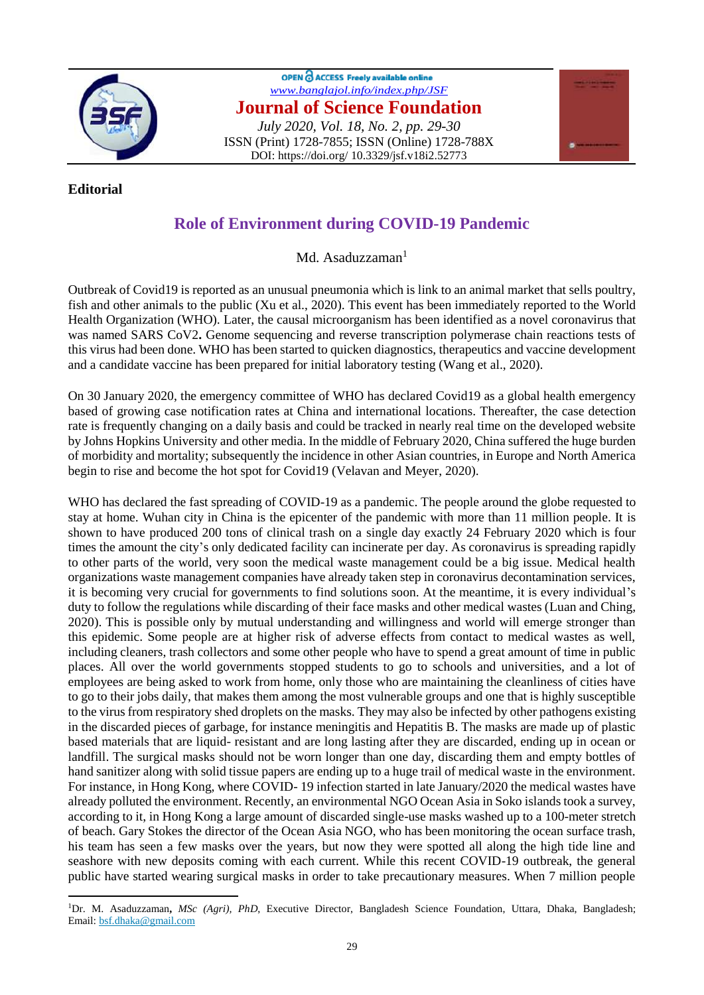

## OPEN C ACCESS Freely available online *[www.banglajol.info/index.php/JSF](http://www.banglajol.info/index.php/JSF)* **Journal of Science Foundation** *July 2020, Vol. 18, No. 2, pp. 29-30* ISSN (Print) 1728-7855; ISSN (Online) 1728-788X DOI: https://doi.org/ 10.3329/jsf.v18i2.52773



 $\overline{a}$ 

## **Role of Environment during COVID-19 Pandemic**

Md. Asaduzzaman $<sup>1</sup>$ </sup>

Outbreak of Covid19 is reported as an unusual pneumonia which is link to an animal market that sells poultry, fish and other animals to the public [\(Xu et al., 2020\)](https://www.sciencedirect.com/science/article/pii/S0048969720323871#bb0130). This event has been immediately reported to the World Health Organization (WHO). Later, the causal microorganism has been identified as a novel coronavirus that was named SARS CoV2**.** Genome sequencing and reverse transcription polymerase chain reactions tests of this virus had been done. WHO has been started to quicken diagnostics, therapeutics and vaccine development and a candidate vaccine has been prepared for initial laboratory testing [\(Wang et al., 2020\)](https://www.sciencedirect.com/science/article/pii/S0048969720323871#bb0125).

On 30 January 2020, the emergency committee of WHO has declared Covid19 as a global health emergency based of growing case notification rates at China and international locations. Thereafter, the case detection rate is frequently changing on a daily basis and could be tracked in nearly real time on the developed website by Johns Hopkins University and other media. In the middle of February 2020, China suffered the huge burden of morbidity and mortality; subsequently the incidence in other Asian countries, in Europe and North America begin to rise and become the hot spot for Covid19 [\(Velavan and Meyer, 2020\)](https://www.sciencedirect.com/science/article/pii/S0048969720323871#bb0120).

WHO has declared the fast spreading of COVID-19 as a pandemic. The people around the globe requested to stay at home. Wuhan city in China is the epicenter of the pandemic with more than 11 million people. It is shown to have produced 200 tons of clinical trash on a single day exactly 24 February 2020 which is four times the amount the city's only dedicated facility can incinerate per day. As coronavirus is spreading rapidly to other parts of the world, very soon the medical waste management could be a big issue. Medical health organizations waste management companies have already taken step in coronavirus decontamination services, it is becoming very crucial for governments to find solutions soon. At the meantime, it is every individual's duty to follow the regulations while discarding of their face masks and other medical wastes [\(Luan and Ching,](https://www.sciencedirect.com/science/article/pii/S0048969720323871#bb0090)  [2020\)](https://www.sciencedirect.com/science/article/pii/S0048969720323871#bb0090). This is possible only by mutual understanding and willingness and world will emerge stronger than this epidemic. Some people are at higher risk of adverse effects from contact to medical wastes as well, including cleaners, trash collectors and some other people who have to spend a great amount of time in public places. All over the world governments stopped students to go to schools and universities, and a lot of employees are being asked to work from home, only those who are maintaining the cleanliness of cities have to go to their jobs daily, that makes them among the most vulnerable groups and one that is highly susceptible to the virus from respiratory shed droplets on the masks. They may also be infected by other pathogens existing in the discarded pieces of garbage, for instance meningitis and Hepatitis B. The masks are made up of plastic based materials that are liquid- resistant and are long lasting after they are discarded, ending up in ocean or landfill. The surgical masks should not be worn longer than one day, discarding them and empty bottles of hand sanitizer along with solid tissue papers are ending up to a huge trail of medical waste in the environment. For instance, in Hong Kong, where COVID- 19 infection started in late January/2020 the medical wastes have already polluted the environment. Recently, an environmental NGO Ocean Asia in Soko islands took a survey, according to it, in Hong Kong a large amount of discarded single-use masks washed up to a 100-meter stretch of beach. Gary Stokes the director of the Ocean Asia NGO, who has been monitoring the ocean surface trash, his team has seen a few masks over the years, but now they were spotted all along the high tide line and seashore with new deposits coming with each current. While this recent COVID-19 outbreak, the general public have started wearing surgical masks in order to take precautionary measures. When 7 million people

<sup>1</sup>Dr. M. Asaduzzaman**,** *MSc (Agri), PhD*, Executive Director, Bangladesh Science Foundation, Uttara, Dhaka, Bangladesh; Email: [bsf.dhaka@gmail.com](mailto:bsf.dhaka@gmail.com)